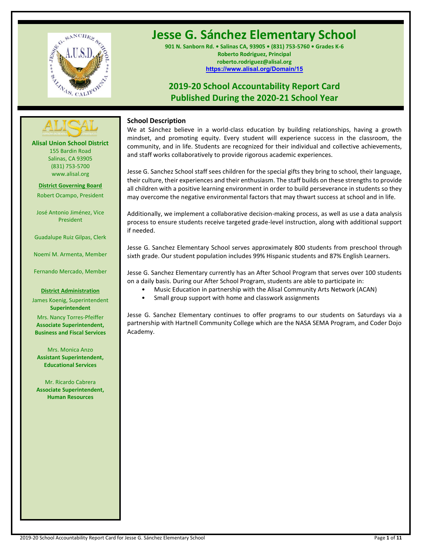

# **Jesse G. Sánchez Elementary School**

**901 N. Sanborn Rd. • Salinas CA, 93905 • (831) 753-5760 • Grades K-6 Roberto Rodriguez, Principal roberto.rodriguez@alisal.org <https://www.alisal.org/Domain/15>**

# **2019-20 School Accountability Report Card Published During the 2020-21 School Year**



**Alisal Union School District** 155 Bardin Road Salinas, CA 93905 (831) 753-5700 www.alisal.org

**District Governing Board** Robert Ocampo, President

José Antonio Jiménez, Vice President

Guadalupe Ruiz Gilpas, Clerk

Noemí M. Armenta, Member

Fernando Mercado, Member

#### **District Administration**

James Koenig, Superintendent **Superintendent** Mrs. Nancy Torres-Pfeiffer **Associate Superintendent, Business and Fiscal Services**

Mrs. Monica Anzo **Assistant Superintendent, Educational Services**

Mr. Ricardo Cabrera **Associate Superintendent, Human Resources**

# **School Description**

We at Sánchez believe in a world-class education by building relationships, having a growth mindset, and promoting equity. Every student will experience success in the classroom, the community, and in life. Students are recognized for their individual and collective achievements, and staff works collaboratively to provide rigorous academic experiences.

Jesse G. Sanchez School staff sees children for the special gifts they bring to school, their language, their culture, their experiences and their enthusiasm. The staff builds on these strengths to provide all children with a positive learning environment in order to build perseverance in students so they may overcome the negative environmental factors that may thwart success at school and in life.

Additionally, we implement a collaborative decision-making process, as well as use a data analysis process to ensure students receive targeted grade-level instruction, along with additional support if needed.

Jesse G. Sanchez Elementary School serves approximately 800 students from preschool through sixth grade. Our student population includes 99% Hispanic students and 87% English Learners.

Jesse G. Sanchez Elementary currently has an After School Program that serves over 100 students on a daily basis. During our After School Program, students are able to participate in:

- Music Education in partnership with the Alisal Community Arts Network (ACAN)
- Small group support with home and classwork assignments

Jesse G. Sanchez Elementary continues to offer programs to our students on Saturdays via a partnership with Hartnell Community College which are the NASA SEMA Program, and Coder Dojo Academy.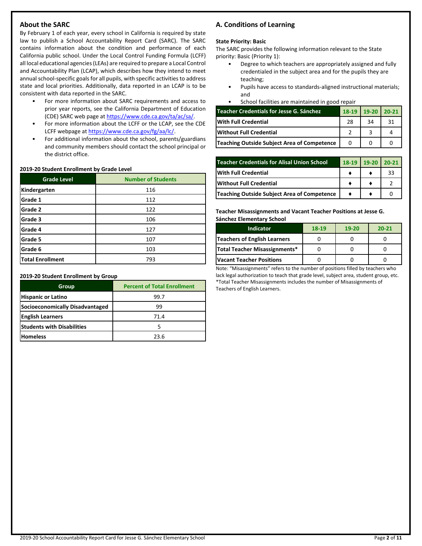# **About the SARC**

By February 1 of each year, every school in California is required by state law to publish a School Accountability Report Card (SARC). The SARC contains information about the condition and performance of each California public school. Under the Local Control Funding Formula (LCFF) all local educational agencies (LEAs) are required to prepare a Local Control and Accountability Plan (LCAP), which describes how they intend to meet annual school-specific goals for all pupils, with specific activities to address state and local priorities. Additionally, data reported in an LCAP is to be consistent with data reported in the SARC.

- For more information about SARC requirements and access to prior year reports, see the California Department of Education (CDE) SARC web page at [https://www.cde.ca.gov/ta/ac/sa/.](https://www.cde.ca.gov/ta/ac/sa/)
- For more information about the LCFF or the LCAP, see the CDE LCFF webpage a[t https://www.cde.ca.gov/fg/aa/lc/.](https://www.cde.ca.gov/fg/aa/lc/)
- For additional information about the school, parents/guardians and community members should contact the school principal or the district office.

#### **2019-20 Student Enrollment by Grade Level**

| <b>Grade Level</b> | <b>Number of Students</b> |
|--------------------|---------------------------|
| Kindergarten       | 116                       |
| Grade 1            | 112                       |
| Grade 2            | 122                       |
| Grade 3            | 106                       |
| Grade 4            | 127                       |
| Grade 5            | 107                       |
| Grade 6            | 103                       |
| Total Enrollment   | 793                       |

#### **2019-20 Student Enrollment by Group**

| Group                             | <b>Percent of Total Enrollment</b> |
|-----------------------------------|------------------------------------|
| <b>Hispanic or Latino</b>         | 99.7                               |
| Socioeconomically Disadvantaged   | 99                                 |
| <b>English Learners</b>           | 71.4                               |
| <b>Students with Disabilities</b> |                                    |
| <b>Homeless</b>                   | 23.6                               |

# **A. Conditions of Learning**

# **State Priority: Basic**

The SARC provides the following information relevant to the State priority: Basic (Priority 1):

- Degree to which teachers are appropriately assigned and fully credentialed in the subject area and for the pupils they are teaching;
- Pupils have access to standards-aligned instructional materials; and
- School facilities are maintained in good repair

| Teacher Credentials for Jesse G. Sánchez    | 18-19 | $19-20$ 20-21 |    |
|---------------------------------------------|-------|---------------|----|
| <b>With Full Credential</b>                 | 28    | 34            | 31 |
| <b>Without Full Credential</b>              |       |               |    |
| Teaching Outside Subject Area of Competence |       |               |    |

| <b>Teacher Credentials for Alisal Union School</b> | 18-19 | $19-20$ | $120-21$ |
|----------------------------------------------------|-------|---------|----------|
| With Full Credential                               |       |         | 33       |
| Without Full Credential                            |       |         |          |
| Teaching Outside Subject Area of Competence        |       |         |          |

**Teacher Misassignments and Vacant Teacher Positions at Jesse G. Sánchez Elementary School**

| <b>Indicator</b>                | 18-19 | $19-20$ | $20 - 21$ |
|---------------------------------|-------|---------|-----------|
| Teachers of English Learners    |       |         |           |
| Total Teacher Misassignments*   |       |         |           |
| <b>Vacant Teacher Positions</b> |       |         |           |

Note: "Misassignments" refers to the number of positions filled by teachers who lack legal authorization to teach that grade level, subject area, student group, etc. \*Total Teacher Misassignments includes the number of Misassignments of Teachers of English Learners.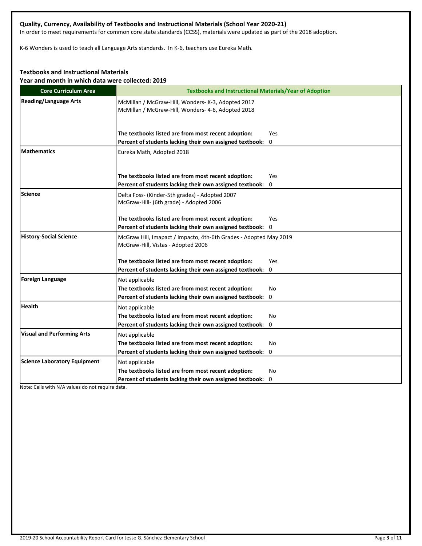# **Quality, Currency, Availability of Textbooks and Instructional Materials (School Year 2020-21)**

In order to meet requirements for common core state standards (CCSS), materials were updated as part of the 2018 adoption.

K-6 Wonders is used to teach all Language Arts standards. In K-6, teachers use Eureka Math.

# **Textbooks and Instructional Materials**

**Year and month in which data were collected: 2019**

| <b>Core Curriculum Area</b>         | <b>Textbooks and Instructional Materials/Year of Adoption</b>                                                            |
|-------------------------------------|--------------------------------------------------------------------------------------------------------------------------|
| <b>Reading/Language Arts</b>        | McMillan / McGraw-Hill, Wonders- K-3, Adopted 2017<br>McMillan / McGraw-Hill, Wonders- 4-6, Adopted 2018                 |
|                                     | The textbooks listed are from most recent adoption:<br>Yes                                                               |
| <b>Mathematics</b>                  | Percent of students lacking their own assigned textbook: 0<br>Eureka Math, Adopted 2018                                  |
|                                     | The textbooks listed are from most recent adoption:<br>Yes<br>Percent of students lacking their own assigned textbook: 0 |
| Science                             | Delta Foss- (Kinder-5th grades) - Adopted 2007<br>McGraw-Hill- (6th grade) - Adopted 2006                                |
|                                     | The textbooks listed are from most recent adoption:<br>Yes<br>Percent of students lacking their own assigned textbook: 0 |
| <b>History-Social Science</b>       | McGraw Hill, Imapact / Impacto, 4th-6th Grades - Adopted May 2019<br>McGraw-Hill, Vistas - Adopted 2006                  |
|                                     | The textbooks listed are from most recent adoption:<br>Yes                                                               |
| <b>Foreign Language</b>             | Percent of students lacking their own assigned textbook: 0<br>Not applicable                                             |
|                                     | The textbooks listed are from most recent adoption:<br>No<br>Percent of students lacking their own assigned textbook: 0  |
| <b>Health</b>                       | Not applicable                                                                                                           |
|                                     | The textbooks listed are from most recent adoption:<br>No<br>Percent of students lacking their own assigned textbook: 0  |
| <b>Visual and Performing Arts</b>   | Not applicable                                                                                                           |
|                                     | The textbooks listed are from most recent adoption:<br>No<br>Percent of students lacking their own assigned textbook: 0  |
| <b>Science Laboratory Equipment</b> | Not applicable                                                                                                           |
|                                     | The textbooks listed are from most recent adoption:<br>No                                                                |
|                                     | Percent of students lacking their own assigned textbook: 0                                                               |

Note: Cells with N/A values do not require data.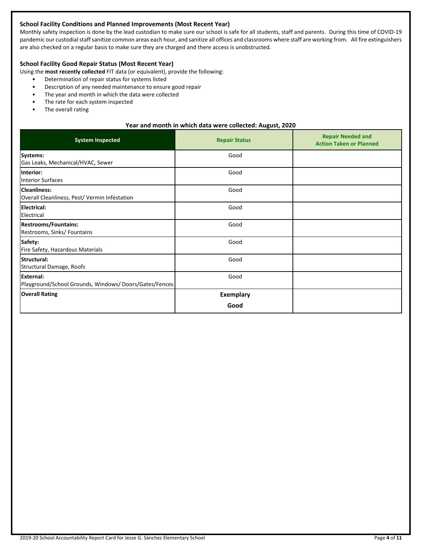# **School Facility Conditions and Planned Improvements (Most Recent Year)**

Monthly safety inspection is done by the lead custodian to make sure our school is safe for all students, staff and parents. During this time of COVID-19 pandemic our custodial staff sanitize common areas each hour, and sanitize all offices and classrooms where staff are working from. All fire extinguishers are also checked on a regular basis to make sure they are charged and there access is unobstructed.

# **School Facility Good Repair Status (Most Recent Year)**

Using the **most recently collected** FIT data (or equivalent), provide the following:

- Determination of repair status for systems listed
- Description of any needed maintenance to ensure good repair
- The year and month in which the data were collected
- The rate for each system inspected
- The overall rating

#### **Year and month in which data were collected: August, 2020**

| <b>System Inspected</b>                                                   | <b>Repair Status</b>     | <b>Repair Needed and</b><br><b>Action Taken or Planned</b> |
|---------------------------------------------------------------------------|--------------------------|------------------------------------------------------------|
| Systems:<br>Gas Leaks, Mechanical/HVAC, Sewer                             | Good                     |                                                            |
| Interior:<br><b>Interior Surfaces</b>                                     | Good                     |                                                            |
| <b>Cleanliness:</b><br>Overall Cleanliness, Pest/ Vermin Infestation      | Good                     |                                                            |
| <b>Electrical:</b><br>Electrical                                          | Good                     |                                                            |
| <b>Restrooms/Fountains:</b><br>Restrooms, Sinks/ Fountains                | Good                     |                                                            |
| Safety:<br>Fire Safety, Hazardous Materials                               | Good                     |                                                            |
| Structural:<br>Structural Damage, Roofs                                   | Good                     |                                                            |
| <b>External:</b><br>Playground/School Grounds, Windows/Doors/Gates/Fences | Good                     |                                                            |
| <b>Overall Rating</b>                                                     | <b>Exemplary</b><br>Good |                                                            |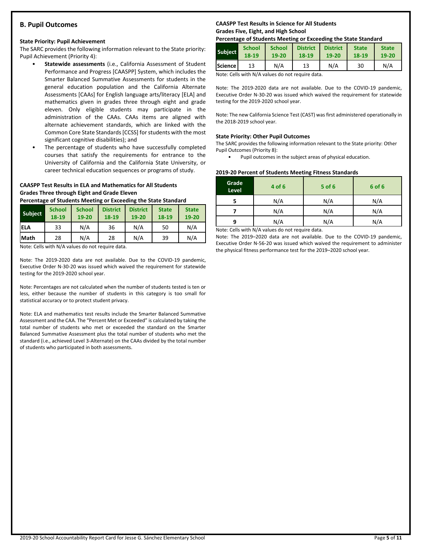# **B. Pupil Outcomes**

#### **State Priority: Pupil Achievement**

The SARC provides the following information relevant to the State priority: Pupil Achievement (Priority 4):

- **Statewide assessments** (i.e., California Assessment of Student Performance and Progress [CAASPP] System, which includes the Smarter Balanced Summative Assessments for students in the general education population and the California Alternate Assessments [CAAs] for English language arts/literacy [ELA] and mathematics given in grades three through eight and grade eleven. Only eligible students may participate in the administration of the CAAs. CAAs items are aligned with alternate achievement standards, which are linked with the Common Core State Standards [CCSS] for students with the most significant cognitive disabilities); and
- The percentage of students who have successfully completed courses that satisfy the requirements for entrance to the University of California and the California State University, or career technical education sequences or programs of study.

#### **CAASPP Test Results in ELA and Mathematics for All Students Grades Three through Eight and Grade Eleven**

**Percentage of Students Meeting or Exceeding the State Standard**

| <b>Subject</b> | <b>School</b><br>18-19 | <b>School</b><br>19-20 | <b>District</b><br>18-19 | <b>District</b><br>19-20 | <b>State</b><br>18-19 | <b>State</b><br>19-20 |
|----------------|------------------------|------------------------|--------------------------|--------------------------|-----------------------|-----------------------|
| <b>IELA</b>    | 33                     | N/A                    | 36                       | N/A                      | 50                    | N/A                   |
| <b>Math</b>    | 28                     | N/A                    | 28                       | N/A                      | 39                    | N/A                   |

Note: Cells with N/A values do not require data.

Note: The 2019-2020 data are not available. Due to the COVID-19 pandemic, Executive Order N-30-20 was issued which waived the requirement for statewide testing for the 2019-2020 school year.

Note: Percentages are not calculated when the number of students tested is ten or less, either because the number of students in this category is too small for statistical accuracy or to protect student privacy.

Note: ELA and mathematics test results include the Smarter Balanced Summative Assessment and the CAA. The "Percent Met or Exceeded" is calculated by taking the total number of students who met or exceeded the standard on the Smarter Balanced Summative Assessment plus the total number of students who met the standard (i.e., achieved Level 3-Alternate) on the CAAs divided by the total number of students who participated in both assessments.

# **CAASPP Test Results in Science for All Students Grades Five, Eight, and High School**

#### **Percentage of Students Meeting or Exceeding the State Standard**

| <b>Subject</b>   | <b>School</b> | <b>School</b> | <b>District</b> | <b>District</b> | <b>State</b> | <b>State</b> |
|------------------|---------------|---------------|-----------------|-----------------|--------------|--------------|
|                  | 18-19         | 19-20         | 18-19           | 19-20           | 18-19        | 19-20        |
| <b>Science</b> l | 13            | N/A           | 13              | N/A             | 30           | N/A          |

Note: Cells with N/A values do not require data.

Note: The 2019-2020 data are not available. Due to the COVID-19 pandemic, Executive Order N-30-20 was issued which waived the requirement for statewide testing for the 2019-2020 school year.

Note: The new California Science Test (CAST) was first administered operationally in the 2018-2019 school year.

#### **State Priority: Other Pupil Outcomes**

The SARC provides the following information relevant to the State priority: Other Pupil Outcomes (Priority 8):

Pupil outcomes in the subject areas of physical education.

#### **2019-20 Percent of Students Meeting Fitness Standards**

| Grade<br>Level | 4 of 6                                                                                                                                                               | $5$ of 6 | 6 of 6 |
|----------------|----------------------------------------------------------------------------------------------------------------------------------------------------------------------|----------|--------|
|                | N/A                                                                                                                                                                  | N/A      | N/A    |
|                | N/A                                                                                                                                                                  | N/A      | N/A    |
| q              | N/A                                                                                                                                                                  | N/A      | N/A    |
|                | $\mathbf{A}$ and $\mathbf{A}$ are $\mathbf{A}$ and $\mathbf{A}$ and $\mathbf{A}$ are also as a set of $\mathbf{A}$ and $\mathbf{A}$ are also assumed to $\mathbf{A}$ |          |        |

Note: Cells with N/A values do not require data.

Note: The 2019–2020 data are not available. Due to the COVID-19 pandemic, Executive Order N-56-20 was issued which waived the requirement to administer the physical fitness performance test for the 2019–2020 school year.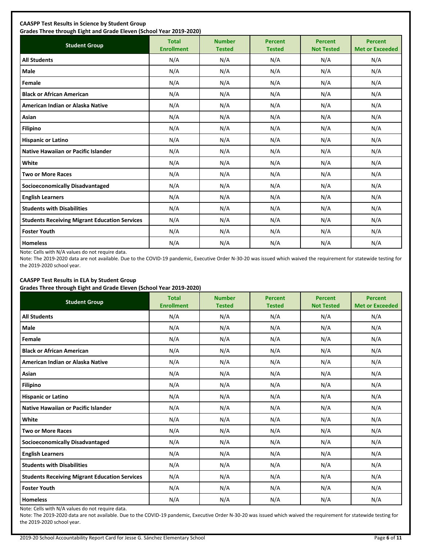| <b>Student Group</b>                                 | <b>Total</b><br><b>Enrollment</b> | <b>Number</b><br><b>Tested</b> | <b>Percent</b><br><b>Tested</b> | <b>Percent</b><br><b>Not Tested</b> | <b>Percent</b><br><b>Met or Exceeded</b> |
|------------------------------------------------------|-----------------------------------|--------------------------------|---------------------------------|-------------------------------------|------------------------------------------|
| <b>All Students</b>                                  | N/A                               | N/A                            | N/A                             | N/A                                 | N/A                                      |
| Male                                                 | N/A                               | N/A                            | N/A                             | N/A                                 | N/A                                      |
| Female                                               | N/A                               | N/A                            | N/A                             | N/A                                 | N/A                                      |
| <b>Black or African American</b>                     | N/A                               | N/A                            | N/A                             | N/A                                 | N/A                                      |
| American Indian or Alaska Native                     | N/A                               | N/A                            | N/A                             | N/A                                 | N/A                                      |
| Asian                                                | N/A                               | N/A                            | N/A                             | N/A                                 | N/A                                      |
| <b>Filipino</b>                                      | N/A                               | N/A                            | N/A                             | N/A                                 | N/A                                      |
| <b>Hispanic or Latino</b>                            | N/A                               | N/A                            | N/A                             | N/A                                 | N/A                                      |
| Native Hawaiian or Pacific Islander                  | N/A                               | N/A                            | N/A                             | N/A                                 | N/A                                      |
| White                                                | N/A                               | N/A                            | N/A                             | N/A                                 | N/A                                      |
| <b>Two or More Races</b>                             | N/A                               | N/A                            | N/A                             | N/A                                 | N/A                                      |
| <b>Socioeconomically Disadvantaged</b>               | N/A                               | N/A                            | N/A                             | N/A                                 | N/A                                      |
| <b>English Learners</b>                              | N/A                               | N/A                            | N/A                             | N/A                                 | N/A                                      |
| <b>Students with Disabilities</b>                    | N/A                               | N/A                            | N/A                             | N/A                                 | N/A                                      |
| <b>Students Receiving Migrant Education Services</b> | N/A                               | N/A                            | N/A                             | N/A                                 | N/A                                      |
| <b>Foster Youth</b>                                  | N/A                               | N/A                            | N/A                             | N/A                                 | N/A                                      |
| <b>Homeless</b>                                      | N/A                               | N/A                            | N/A                             | N/A                                 | N/A                                      |

Note: Cells with N/A values do not require data.

Note: The 2019-2020 data are not available. Due to the COVID-19 pandemic, Executive Order N-30-20 was issued which waived the requirement for statewide testing for the 2019-2020 school year.

# **CAASPP Test Results in ELA by Student Group**

**Grades Three through Eight and Grade Eleven (School Year 2019-2020)**

| <b>Student Group</b>                                 | <b>Total</b><br><b>Enrollment</b> | <b>Number</b><br><b>Tested</b> | <b>Percent</b><br><b>Tested</b> | <b>Percent</b><br><b>Not Tested</b> | <b>Percent</b><br><b>Met or Exceeded</b> |
|------------------------------------------------------|-----------------------------------|--------------------------------|---------------------------------|-------------------------------------|------------------------------------------|
| <b>All Students</b>                                  | N/A                               | N/A                            | N/A                             | N/A                                 | N/A                                      |
| Male                                                 | N/A                               | N/A                            | N/A                             | N/A                                 | N/A                                      |
| Female                                               | N/A                               | N/A                            | N/A                             | N/A                                 | N/A                                      |
| <b>Black or African American</b>                     | N/A                               | N/A                            | N/A                             | N/A                                 | N/A                                      |
| American Indian or Alaska Native                     | N/A                               | N/A                            | N/A                             | N/A                                 | N/A                                      |
| Asian                                                | N/A                               | N/A                            | N/A                             | N/A                                 | N/A                                      |
| <b>Filipino</b>                                      | N/A                               | N/A                            | N/A                             | N/A                                 | N/A                                      |
| <b>Hispanic or Latino</b>                            | N/A                               | N/A                            | N/A                             | N/A                                 | N/A                                      |
| Native Hawaiian or Pacific Islander                  | N/A                               | N/A                            | N/A                             | N/A                                 | N/A                                      |
| White                                                | N/A                               | N/A                            | N/A                             | N/A                                 | N/A                                      |
| <b>Two or More Races</b>                             | N/A                               | N/A                            | N/A                             | N/A                                 | N/A                                      |
| <b>Socioeconomically Disadvantaged</b>               | N/A                               | N/A                            | N/A                             | N/A                                 | N/A                                      |
| <b>English Learners</b>                              | N/A                               | N/A                            | N/A                             | N/A                                 | N/A                                      |
| <b>Students with Disabilities</b>                    | N/A                               | N/A                            | N/A                             | N/A                                 | N/A                                      |
| <b>Students Receiving Migrant Education Services</b> | N/A                               | N/A                            | N/A                             | N/A                                 | N/A                                      |
| <b>Foster Youth</b>                                  | N/A                               | N/A                            | N/A                             | N/A                                 | N/A                                      |
| <b>Homeless</b>                                      | N/A                               | N/A                            | N/A                             | N/A                                 | N/A                                      |

Note: Cells with N/A values do not require data.

Note: The 2019-2020 data are not available. Due to the COVID-19 pandemic, Executive Order N-30-20 was issued which waived the requirement for statewide testing for the 2019-2020 school year.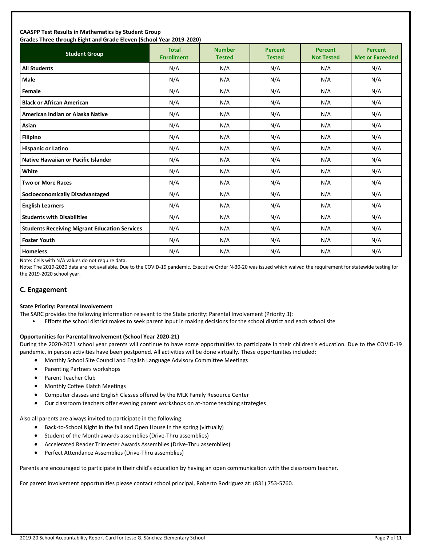#### **CAASPP Test Results in Mathematics by Student Group Grades Three through Eight and Grade Eleven (School Year 2019-2020)**

| andes mice unbagn agut ana anade actem penoor rear 2015 2020;<br><b>Student Group</b> | <b>Total</b><br><b>Enrollment</b> | <b>Number</b><br><b>Tested</b> | <b>Percent</b><br><b>Tested</b> | <b>Percent</b><br><b>Not Tested</b> | <b>Percent</b><br><b>Met or Exceeded</b> |
|---------------------------------------------------------------------------------------|-----------------------------------|--------------------------------|---------------------------------|-------------------------------------|------------------------------------------|
| <b>All Students</b>                                                                   | N/A                               | N/A                            | N/A                             | N/A                                 | N/A                                      |
| <b>Male</b>                                                                           | N/A                               | N/A                            | N/A                             | N/A                                 | N/A                                      |
| Female                                                                                | N/A                               | N/A                            | N/A                             | N/A                                 | N/A                                      |
| <b>Black or African American</b>                                                      | N/A                               | N/A                            | N/A                             | N/A                                 | N/A                                      |
| American Indian or Alaska Native                                                      | N/A                               | N/A                            | N/A                             | N/A                                 | N/A                                      |
| Asian                                                                                 | N/A                               | N/A                            | N/A                             | N/A                                 | N/A                                      |
| <b>Filipino</b>                                                                       | N/A                               | N/A                            | N/A                             | N/A                                 | N/A                                      |
| <b>Hispanic or Latino</b>                                                             | N/A                               | N/A                            | N/A                             | N/A                                 | N/A                                      |
| <b>Native Hawaiian or Pacific Islander</b>                                            | N/A                               | N/A                            | N/A                             | N/A                                 | N/A                                      |
| White                                                                                 | N/A                               | N/A                            | N/A                             | N/A                                 | N/A                                      |
| <b>Two or More Races</b>                                                              | N/A                               | N/A                            | N/A                             | N/A                                 | N/A                                      |
| <b>Socioeconomically Disadvantaged</b>                                                | N/A                               | N/A                            | N/A                             | N/A                                 | N/A                                      |
| <b>English Learners</b>                                                               | N/A                               | N/A                            | N/A                             | N/A                                 | N/A                                      |
| <b>Students with Disabilities</b>                                                     | N/A                               | N/A                            | N/A                             | N/A                                 | N/A                                      |
| <b>Students Receiving Migrant Education Services</b>                                  | N/A                               | N/A                            | N/A                             | N/A                                 | N/A                                      |
| <b>Foster Youth</b>                                                                   | N/A                               | N/A                            | N/A                             | N/A                                 | N/A                                      |
| <b>Homeless</b>                                                                       | N/A                               | N/A                            | N/A                             | N/A                                 | N/A                                      |

Note: Cells with N/A values do not require data.

Note: The 2019-2020 data are not available. Due to the COVID-19 pandemic, Executive Order N-30-20 was issued which waived the requirement for statewide testing for the 2019-2020 school year.

# **C. Engagement**

#### **State Priority: Parental Involvement**

- The SARC provides the following information relevant to the State priority: Parental Involvement (Priority 3):
	- Efforts the school district makes to seek parent input in making decisions for the school district and each school site

#### **Opportunities for Parental Involvement (School Year 2020-21)**

During the 2020-2021 school year parents will continue to have some opportunities to participate in their children's education. Due to the COVID-19 pandemic, in person activities have been postponed. All activities will be done virtually. These opportunities included:

- Monthly School Site Council and English Language Advisory Committee Meetings
- Parenting Partners workshops
- Parent Teacher Club
- Monthly Coffee Klatch Meetings
- Computer classes and English Classes offered by the MLK Family Resource Center
- Our classroom teachers offer evening parent workshops on at-home teaching strategies

Also all parents are always invited to participate in the following:

- Back-to-School Night in the fall and Open House in the spring (virtually)
- Student of the Month awards assemblies (Drive-Thru assemblies)
- Accelerated Reader Trimester Awards Assemblies (Drive-Thru assemblies)
- Perfect Attendance Assemblies (Drive-Thru assemblies)

Parents are encouraged to participate in their child's education by having an open communication with the classroom teacher.

For parent involvement opportunities please contact school principal, Roberto Rodriguez at: (831) 753-5760.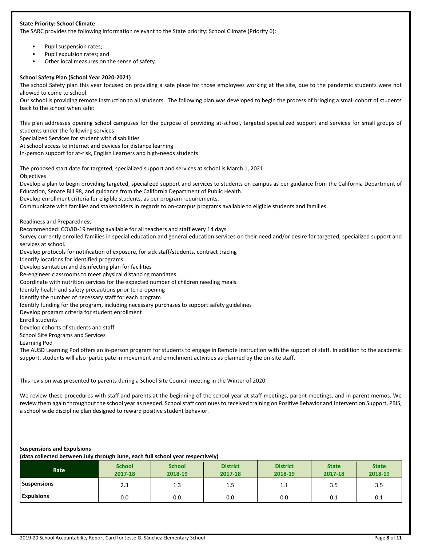#### **State Priority: School Climate**

The SARC provides the following information relevant to the State priority: School Climate (Priority 6):

- Pupil suspension rates;
- Pupil expulsion rates; and
- Other local measures on the sense of safety.

#### **School Safety Plan (School Year 2020-2021)**

The school Safety plan this year focused on providing a safe place for those employees working at the site, due to the pandemic students were not allowed to come to school.

Our school is providing remote instruction to all students. The following plan was developed to begin the process of bringing a small cohort of students back to the school when safe:

This plan addresses opening school campuses for the purpose of providing at-school, targeted specialized support and services for small groups of students under the following services:

Specialized Services for student with disabilities

At school access to internet and devices for distance learning

In-person support for at-risk, English Learners and high-needs students

The proposed start date for targeted, specialized support and services at school is March 1, 2021 Objectives

Develop a plan to begin providing targeted, specialized support and services to students on campus as per guidance from the California Department of Education, Senate Bill 98, and guidance from the California Department of Public Health.

Develop enrollment criteria for eligible students, as per program requirements.

Communicate with families and stakeholders in regards to on-campus programs available to eligible students and families.

Readiness and Preparedness

Recommended: COVID-19 testing available for all teachers and staff every 14 days

Survey currently enrolled families in special education and general education services on their need and/or desire for targeted, specialized support and services at school.

Develop protocols for notification of exposure, for sick staff/students, contract tracing

Identify locations for identified programs

Develop sanitation and disinfecting plan for facilities

Re-engineer classrooms to meet physical distancing mandates

Coordinate with nutrition services for the expected number of children needing meals.

Identify health and safety precautions prior to re-opening

Identify the number of necessary staff for each program

Identify funding for the program, including necessary purchases to support safety guidelines

Develop program criteria for student enrollment

Enroll students

Develop cohorts of students and staff

School Site Programs and Services

Learning Pod

The AUSD Learning Pod offers an in-person program for students to engage in Remote Instruction with the support of staff. In addition to the academic support, students will also participate in movement and enrichment activities as planned by the on-site staff.

This revision was presented to parents during a School Site Council meeting in the Winter of 2020.

We review these procedures with staff and parents at the beginning of the school year at staff meetings, parent meetings, and in parent memos. We review them again throughout the school year as needed. School staff continues to received training on Positive Behavior and Intervention Support, PBIS, a school wide discipline plan designed to reward positive student behavior.

#### **Suspensions and Expulsions**

**(data collected between July through June, each full school year respectively)**

| Rate               | <b>School</b><br>2017-18 | <b>School</b><br>2018-19 | <b>District</b><br>2017-18 | <b>District</b><br>2018-19 | <b>State</b><br>2017-18 | <b>State</b><br>2018-19 |
|--------------------|--------------------------|--------------------------|----------------------------|----------------------------|-------------------------|-------------------------|
| <b>Suspensions</b> | 2.3                      | 1.3                      | 1.5                        | 1.1                        | 3.5                     | 3.5                     |
| <b>Expulsions</b>  | 0.0                      | 0.0                      | 0.0                        | 0.0                        | 0.1                     | 0.1                     |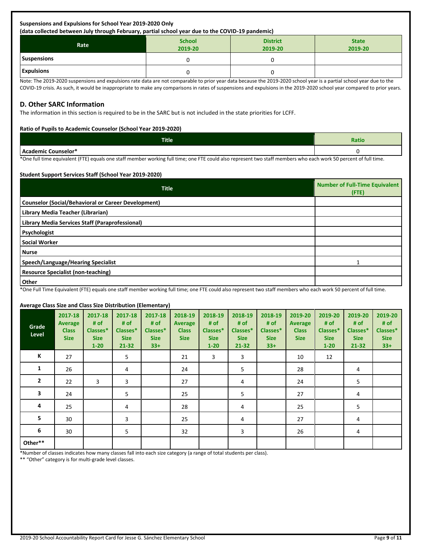#### **Suspensions and Expulsions for School Year 2019-2020 Only (data collected between July through February, partial school year due to the COVID-19 pandemic)**

| $($ were concerned about convert the origin case was $\mu$ for the concern from the control of the control of $\mu$ |                          |                            |                         |  |  |  |
|---------------------------------------------------------------------------------------------------------------------|--------------------------|----------------------------|-------------------------|--|--|--|
| Rate                                                                                                                | <b>School</b><br>2019-20 | <b>District</b><br>2019-20 | <b>State</b><br>2019-20 |  |  |  |
| <b>Suspensions</b>                                                                                                  |                          |                            |                         |  |  |  |
| <b>Expulsions</b>                                                                                                   |                          |                            |                         |  |  |  |

Note: The 2019-2020 suspensions and expulsions rate data are not comparable to prior year data because the 2019-2020 school year is a partial school year due to the COVID-19 crisis. As such, it would be inappropriate to make any comparisons in rates of suspensions and expulsions in the 2019-2020 school year compared to prior years.

# **D. Other SARC Information**

The information in this section is required to be in the SARC but is not included in the state priorities for LCFF.

#### **Ratio of Pupils to Academic Counselor (School Year 2019-2020)**

| Title                                | Ratio |
|--------------------------------------|-------|
| $I$ Acad<br>- 1<br>Counselor*<br>. . |       |

\*One full time equivalent (FTE) equals one staff member working full time; one FTE could also represent two staff members who each work 50 percent of full time.

#### **Student Support Services Staff (School Year 2019-2020)**

| <b>Title</b>                                               | <b>Number of Full-Time Equivalent</b><br>(FTE) |
|------------------------------------------------------------|------------------------------------------------|
| <b>Counselor (Social/Behavioral or Career Development)</b> |                                                |
| Library Media Teacher (Librarian)                          |                                                |
| Library Media Services Staff (Paraprofessional)            |                                                |
| Psychologist                                               |                                                |
| <b>Social Worker</b>                                       |                                                |
| <b>Nurse</b>                                               |                                                |
| Speech/Language/Hearing Specialist                         |                                                |
| <b>Resource Specialist (non-teaching)</b>                  |                                                |
| Other                                                      |                                                |

\*One Full Time Equivalent (FTE) equals one staff member working full time; one FTE could also represent two staff members who each work 50 percent of full time.

#### **Average Class Size and Class Size Distribution (Elementary)**

| Grade<br>Level | 2017-18<br><b>Average</b><br><b>Class</b><br><b>Size</b> | 2017-18<br># of<br>Classes*<br><b>Size</b><br>$1 - 20$ | 2017-18<br># $of$<br>Classes*<br><b>Size</b><br>$21 - 32$ | 2017-18<br># of<br>Classes*<br><b>Size</b><br>$33+$ | 2018-19<br>Average<br><b>Class</b><br><b>Size</b> | 2018-19<br># of<br>Classes*<br><b>Size</b><br>$1 - 20$ | 2018-19<br># of<br>Classes*<br><b>Size</b><br>21-32 | 2018-19<br># of<br>Classes*<br><b>Size</b><br>$33+$ | 2019-20<br><b>Average</b><br><b>Class</b><br><b>Size</b> | 2019-20<br># of<br>Classes*<br><b>Size</b><br>$1 - 20$ | 2019-20<br># of<br>Classes*<br><b>Size</b><br>$21 - 32$ | 2019-20<br># of<br>Classes*<br><b>Size</b><br>$33+$ |
|----------------|----------------------------------------------------------|--------------------------------------------------------|-----------------------------------------------------------|-----------------------------------------------------|---------------------------------------------------|--------------------------------------------------------|-----------------------------------------------------|-----------------------------------------------------|----------------------------------------------------------|--------------------------------------------------------|---------------------------------------------------------|-----------------------------------------------------|
| К              | 27                                                       |                                                        | 5                                                         |                                                     | 21                                                | 3                                                      | 3                                                   |                                                     | 10                                                       | 12                                                     |                                                         |                                                     |
| 1              | 26                                                       |                                                        | 4                                                         |                                                     | 24                                                |                                                        | 5                                                   |                                                     | 28                                                       |                                                        | 4                                                       |                                                     |
| $\overline{2}$ | 22                                                       | 3                                                      | 3                                                         |                                                     | 27                                                |                                                        | 4                                                   |                                                     | 24                                                       |                                                        | 5                                                       |                                                     |
| 3              | 24                                                       |                                                        | 5                                                         |                                                     | 25                                                |                                                        | 5                                                   |                                                     | 27                                                       |                                                        | 4                                                       |                                                     |
| 4              | 25                                                       |                                                        | 4                                                         |                                                     | 28                                                |                                                        | 4                                                   |                                                     | 25                                                       |                                                        | 5                                                       |                                                     |
| 5              | 30                                                       |                                                        | 3                                                         |                                                     | 25                                                |                                                        | 4                                                   |                                                     | 27                                                       |                                                        | 4                                                       |                                                     |
| 6              | 30                                                       |                                                        | 5                                                         |                                                     | 32                                                |                                                        | 3                                                   |                                                     | 26                                                       |                                                        | 4                                                       |                                                     |
| Other**        |                                                          |                                                        |                                                           |                                                     |                                                   |                                                        |                                                     |                                                     |                                                          |                                                        |                                                         |                                                     |

\*Number of classes indicates how many classes fall into each size category (a range of total students per class).

\*\* "Other" category is for multi-grade level classes.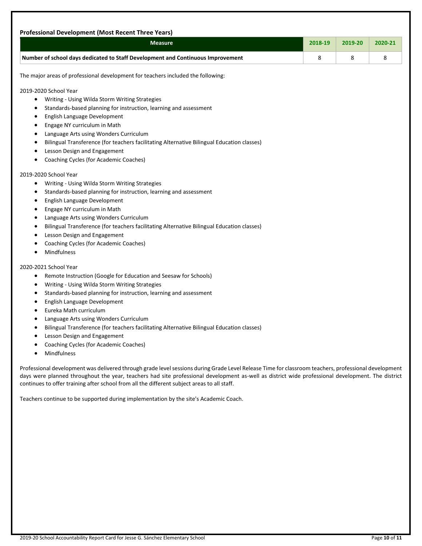|                                                                                                                                                                                                                                                                                                                                                                                                                                                                                                                                                                                                                                                                                                      | 2018-19 | 2019-20 | 2020-21 |
|------------------------------------------------------------------------------------------------------------------------------------------------------------------------------------------------------------------------------------------------------------------------------------------------------------------------------------------------------------------------------------------------------------------------------------------------------------------------------------------------------------------------------------------------------------------------------------------------------------------------------------------------------------------------------------------------------|---------|---------|---------|
| Number of school days dedicated to Staff Development and Continuous Improvement                                                                                                                                                                                                                                                                                                                                                                                                                                                                                                                                                                                                                      | 8       | 8       | 8       |
| The major areas of professional development for teachers included the following:                                                                                                                                                                                                                                                                                                                                                                                                                                                                                                                                                                                                                     |         |         |         |
| 2019-2020 School Year<br>Writing - Using Wilda Storm Writing Strategies<br>$\bullet$<br>Standards-based planning for instruction, learning and assessment<br>٠<br>English Language Development<br>$\bullet$<br>Engage NY curriculum in Math<br>٠<br>Language Arts using Wonders Curriculum<br>٠<br>Bilingual Transference (for teachers facilitating Alternative Bilingual Education classes)<br>٠<br>Lesson Design and Engagement<br>Coaching Cycles (for Academic Coaches)                                                                                                                                                                                                                         |         |         |         |
| 2019-2020 School Year<br>Writing - Using Wilda Storm Writing Strategies<br>٠<br>Standards-based planning for instruction, learning and assessment<br>٠<br>English Language Development<br>٠<br>Engage NY curriculum in Math<br>٠<br>Language Arts using Wonders Curriculum<br>٠<br>Bilingual Transference (for teachers facilitating Alternative Bilingual Education classes)<br>Lesson Design and Engagement<br>Coaching Cycles (for Academic Coaches)<br><b>Mindfulness</b><br>٠                                                                                                                                                                                                                   |         |         |         |
| 2020-2021 School Year<br>Remote Instruction (Google for Education and Seesaw for Schools)<br>٠<br>Writing - Using Wilda Storm Writing Strategies<br>Standards-based planning for instruction, learning and assessment<br>٠<br>English Language Development<br>Eureka Math curriculum<br>Language Arts using Wonders Curriculum<br>٠<br>Bilingual Transference (for teachers facilitating Alternative Bilingual Education classes)<br>Lesson Design and Engagement<br>٠<br>Coaching Cycles (for Academic Coaches)<br>Mindfulness<br>$\bullet$<br>Professional development was delivered through grade level sessions during Grade Level Release Time for classroom teachers, professional development |         |         |         |
| days were planned throughout the year, teachers had site professional development as-well as district wide professional development. The district<br>continues to offer training after school from all the different subject areas to all staff.                                                                                                                                                                                                                                                                                                                                                                                                                                                     |         |         |         |